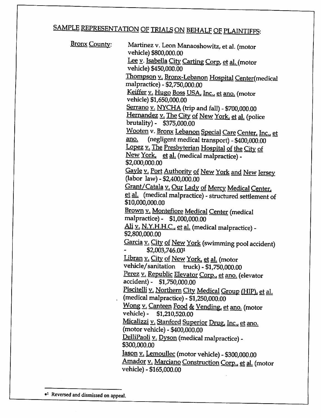## SAMPLE REPRESENTATION OF TRIALS ON BEHALF OF PLAINTIFFS:

| <u> Bronx County:</u> | Martinez v. Leon Manaoshowitz, et al. (motor<br>vehicle) \$800,000.00                                                                             |
|-----------------------|---------------------------------------------------------------------------------------------------------------------------------------------------|
|                       | Lee y. Isabella City Carting Corp, et al. (motor<br>vehicle) \$450,000.00                                                                         |
|                       | <u>Thompson v. Bronx-Lebanon Hospital Center</u> (medical<br>malpractice) - \$2,750,000.00                                                        |
|                       | <u>Keiffer v. Hugo Boss USA, Inc., et ano.</u> (motor<br>vehicle) \$1,650,000.00                                                                  |
|                       | Serrano v. NYCHA (trip and fall) - \$700,000.00<br>Hernandez v. The City of New York, et al. (police                                              |
|                       | brutality) - \$375,000.00<br>Wooten v. Bronx Lebanon Special Care Center, Inc., et<br>(negligent medical transport) - \$400,000.00<br><u>ano.</u> |
|                       | Lopez v. The Presbyterian Hospital of the City of<br>New York, et al. (medical malpractice) -<br>\$2,000,000.00                                   |
|                       | Gayle v. Port Authority of New York and New Jersey<br>(labor law) - \$2,400,000.00                                                                |
|                       | Grant/Catala v. Our Lady of Mercy Medical Center,<br>et al. (medical malpractice) - structured settlement of<br>\$10,000,000.00                   |
|                       | Brown v. Montefiore Medical Center (medical<br>malpractice) - \$1,000,000.00                                                                      |
|                       | Ali v. N.Y.H.H.C., et al. (medical malpractice) -<br>\$2,800,000.00                                                                               |
|                       | Garcia v. City of New York (swimming pool accident)<br>\$2,003,746.001                                                                            |
|                       | Libran v. City of New York, et al. (motor<br>vehicle/sanitation truck) - \$1,750,000.00                                                           |
|                       | Perez v. Republic Elevator Corp., et ano. (elevator<br>accident) - \$1,750,000.00                                                                 |
|                       | Piscitelli v. Northern City Medical Group (HIP), et al.<br>(medical malpractice) - \$1,250,000.00                                                 |
|                       | Wong v. Canteen Food & Vending, et ano. (motor<br>vehicle) - \$1,210,520.00                                                                       |
|                       | Micalizzi v. Stanford Superior Drug, Inc., et ano.<br>(motor vehicle) - \$400,000.00                                                              |
|                       | DelliPaoli v. Dyson (medical malpractice) -<br>\$300,000.00                                                                                       |
|                       | Jason v. Lemoullec (motor vehicle) - \$300,000.00<br>Amador v. Marciano Construction Corp., et al. (motor                                         |
|                       | vehicle) - \$165,000.00                                                                                                                           |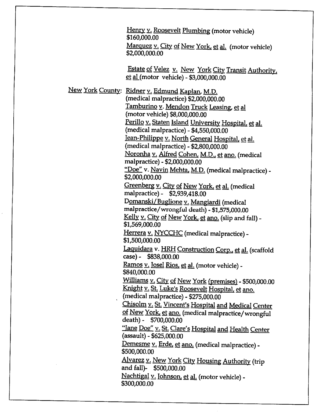Henry v. Roosevelt Plumbing (motor vehicle) \$160,000.00 Marquez v. City of New York, et al. (motor vehicle) \$2,000,000.00 Estate of Velez v. New York City Transit Authority, et al (motor vehicle) - \$3,000,000.00 New York County: Ridner v. Edmund Kaplan, M.D. (medical malpractice) \$2,000,000.00 Tamburino v. Mendon Truck Leasing, et al (motor vehicle) \$8,000,000.00 Perillo v. Staten Island University Hospital, et al.  $(medical \, malpractice) - $4,550,000.00$ Jean-Philippe v. North General Hospital, et al. (medical malpractice) -  $$2,800,000.00$ Noronha v. Alfred Cohen. M.D.. et ano. (medical malpractice) - \$2,000.000.00 "Doe" v. Navin Mehta, M.D. (medical malpractice) -\$2,000,000.00 Greenberg v. City of New York, et al. (medical malpractice) - \$2,939,418.00 Domanski/Buglione v. Mangiardi (medical malpractice/wrongful death) - \$1,575,000.00 Kelly v. City of New York, et ano. (slip and fall) -\$1,569,000.00 Herrera v. NYCCHC (medical malpractice) -\$1,500,000.00 Laquidara v. HRH Construction Corp., et al. (scaffold case)- \$838,000.00 Ramos v. Josel Rios, et al. (motor vehicle) -\$840,000.00 Williams v. City of New York (premises) - \$500,000.00 Knight v. St. Luke's Roosevelt Hospital, et ano. (medical malpractice) - \$275,000.00 Chisolm y. St. Vincent's Hospital and Medical Center of New York, et ano. (medical malpractice/wrongful death)- \$700,000.00 "Jane Doe" v. St. Clare's Hospital and Health Center  $(assault) - $625,000.00$ Demesme v. Erde, et ano. (medical malpractice) -\$500,000.00 Alvarez v. New York City Housing Authority (trip and fall)- \$500,000.00

Nachtigal v. Johnson, et al. (motor vehicle) -\$300,000.00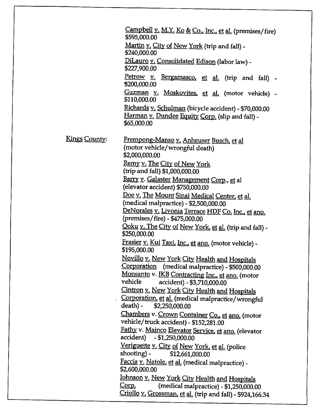|               | Campbell v. M.Y. Ko & Co., Inc., et al. (premises/fire)<br>\$595,000.00                                                     |
|---------------|-----------------------------------------------------------------------------------------------------------------------------|
|               | Martin v. City of New York (trip and fall) -<br>\$240,000.00                                                                |
|               | DiLauro v. Consolidated Edison (labor law) -<br>\$227,900.00                                                                |
|               | Petrow v. Bergamasco, et al. (trip and fall) -<br>\$200,000.00                                                              |
|               | Guzman v. Moskovites, et al. (motor vehicle) -<br>\$110,000.00                                                              |
|               | Richards v. Schulman (bicycle accident) - \$70,000.00<br>Harman v. Dundee Equity Corp. (slip and fall) -<br>\$65,000.00     |
| Kings County: | Frempong-Manso v. Anheuser Busch, et al<br>(motor vehicle/wrongful death)<br>\$2,000,000.00                                 |
|               | Remy v. The City of New York                                                                                                |
|               | (trip and fall) \$1,000,000.00<br>Barry v. Galaster Management Corp., et al                                                 |
|               | (elevator accident) \$750,000.00                                                                                            |
|               | Doe v. The Mount Sinai Medical Center, et al.<br>(medical malpractice) - \$2,500,000.00                                     |
|               | DeNorales v. Livonia Terrace HDF Co, Inc., et ano.                                                                          |
|               | (premises/fire) - \$475,000.00                                                                                              |
|               | <u> Qoku v. The City of New York, et al.</u> (trip and fall) -<br>\$250,000.00                                              |
|               | <u>Frasier v. Kui Taxi, Inc., et ano.</u> (motor vehicle) -<br>\$195,000.00                                                 |
|               | <u> Novillo v. New York City Health and Hospitals</u>                                                                       |
|               | Corporation (medical malpractice) - \$500,000.00<br>Monsanto v. JKB Contracting Inc., et ano. (motor                        |
|               | vehicle<br>accident) - \$3,710,000.00                                                                                       |
|               | Cintron v. New York City Health and Hospitals                                                                               |
|               | Corporation, et al. (medical malpractice/wrongful<br>death) -<br>\$2,250,000.00                                             |
|               | Chambers v. Crown Container Co., et ano. (motor<br>vehicle/truck accident) - \$152,281.00                                   |
|               | Fathy v. Mainco Elevator Service, et ano. (elevator<br>accident) - \$1,250,000.00                                           |
|               | Veriguette v. City of New York, et al. (police                                                                              |
|               | shooting) - \$12,661,000.00<br>Faccia v. Natole, et al. (medical malpractice) -                                             |
|               | \$2,600,000.00                                                                                                              |
|               | <u> Johnson v. New York City Health and Hospitals</u>                                                                       |
|               | <u>Corp.</u><br>(medical malpractice) - \$1,250,000.00<br><u>Criollo v. Grossman, et al.</u> (trip and fall) - \$924,166.34 |
|               |                                                                                                                             |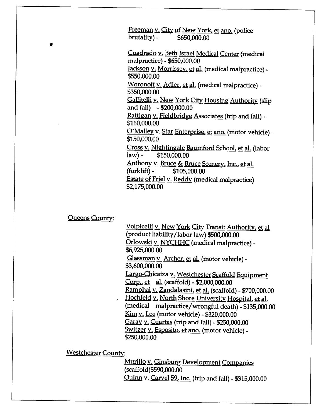Freeman v. City of New York, et ano. (police  $brutality$   $-$  \$650,000.00

Cuadrado v. Beth Israel Medical Center (medical malpractice) - \$650,000.00

Jackson v. Morrissev, et al. (medical malpractice) -\$550,000.00

Woronoff v. Adler, et al. (medical malpractice) -\$350,000.00

Gallitelli v. New York City Housing Authority (slip and fall) - \$200,000.00

Rattigan v. Fieldbridge Associates (trip and fall) -\$160,000.00

O'Malley v. Star Enterprise, et ano. (motor vehicle) -\$150,000.00

Cross v. Nightingale Baumford School, et al. (labor  $law$   $-$  \$150,000,00

Anthony v. Bruce & Bruce Scenery, Inc., et al.  $(forklift) -$  \$105,000.00 Estate of Friel v. Reddv (medical malpractice)

\$2,175,000.00

Queens Countv:

Volpicelli v. New York City Transit Authority, et al (product liability/labor law) \$500,000.00 Orlowski v. NYCHHC (medical malpractice) -\$6,925,000.00 Glassman v. Archer, et al. (motor vehicle) -\$3,600,000.00 Largo-Chicaiza v. Westchester Scaffold Equipment  $Corp.$ , et al. (scaffold) - \$2,000,000.00 Ramphal v. Zandalasini, et al. (scaffold) - \$700,000.00 Hochfeld v. North Shore University Hospital, et al. (medical malpractice/wrongful death)  $-$  \$135,000.00 Kim v. Lee (motor vehicle) - \$320,000.00 Garay v. Cuartas (trip and fall) -  $$250,000.00$ Switzer v. Esposito, et ano. (motor vehicle) -\$250,000.00

Westchester County:

Murillo v. Ginsburg Development Companies (scaffold)\$590,000.00 Quinn v. Carvel 59, Inc. (trip and fall) - \$315,000.00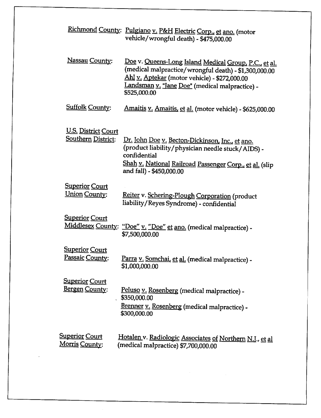|                                                         | Richmond County: Pulgiano v. P&H Electric Corp., et ano. (motor<br>vehicle/wrongful death) - \$475,000.00                                                                                                                         |
|---------------------------------------------------------|-----------------------------------------------------------------------------------------------------------------------------------------------------------------------------------------------------------------------------------|
| Nassau County:                                          | Doe v. Queens-Long Island Medical Group, P.C., et al.<br>(medical malpractice/wrongful death) - \$1,300,000.00<br>Ahl v. Aptekar (motor vehicle) - \$272,000.00<br>Landsman v. "Jane Doe" (medical malpractice) -<br>\$525,000.00 |
| <b>Suffolk County:</b>                                  | Amaitis v. Amaitis, et al. (motor vehicle) - \$625,000.00                                                                                                                                                                         |
| <b>U.S. District Court</b><br><b>Southern District:</b> | Dr. John Doe v. Becton-Dickinson, Inc., et ano.<br>(product liability/physician needle stuck/AIDS) -<br>confidential<br>Shah v. National Railroad Passenger Corp., et al. (slip<br>and fall) - \$450,000.00                       |
| <b>Superior Court</b><br><u> Union County:</u>          | Reiter v. Schering-Plough Corporation (product<br>liability/Reyes Syndrome) - confidential                                                                                                                                        |
| <b>Superior Court</b>                                   | Middlesex County: "Doe" v. "Doe" et ano. (medical malpractice) -<br>\$7,500,000.00                                                                                                                                                |
| <b>Superior Court</b><br>Passaic County:                | Parra v. Somchai, et al. (medical malpractice) -<br>\$1,000,000.00                                                                                                                                                                |
| <b>Superior Court</b><br>Bergen County:                 | Peluso v. Rosenberg (medical malpractice) -<br>\$350,000.00<br>Brenner v. Rosenberg (medical malpractice) -<br>\$300,000.00                                                                                                       |
| <u>Superior Court</u><br>Morris County:                 | Hotalen v. Radiologic Associates of Northern N.J., et al<br>(medical malpractice) \$7,700,000.00                                                                                                                                  |